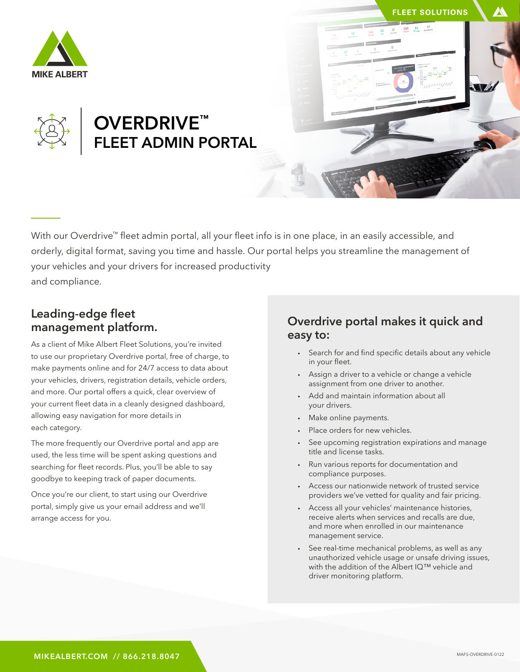



## OVERDRIVE™ FLEET ADMIN PORTAL

With our Overdrive™ fleet admin portal, all your fleet info is in one place, in an easily accessible, and orderly, digital format, saving you time and hassle. Our portal helps you streamline the management of your vehicles and your drivers for increased productivity and compliance.

#### Leading-edge fleet management platform.

As a client of Mike Albert Fleet Solutions, you're invited to use our proprietary Overdrive portal, free of charge, to make payments online and for 24/7 access to data about your vehicles, drivers, registration details, vehicle orders, and more. Our portal offers a quick, clear overview of your current fleet data in a cleanly designed dashboard, allowing easy navigation for more details in each category.

The more frequently our Overdrive portal and app are used, the less time will be spent asking questions and searching for fleet records. Plus, you'll be able to say goodbye to keeping track of paper documents.

Once you're our client, to start using our Overdrive portal, simply give us your email address and we'll arrange access for you.

### Overdrive portal makes it quick and easy to:

- Search for and find specific details about any vehicle in your fleet.
- Assign a driver to a vehicle or change a vehicle assignment from one driver to another.
- Add and maintain information about all your drivers.
- Make online payments.
- Place orders for new vehicles.
- See upcoming registration expirations and manage title and license tasks.
- Run various reports for documentation and compliance purposes.
- Access our nationwide network of trusted service providers we've vetted for quality and fair pricing.
- Access all your vehicles' maintenance histories, receive alerts when services and recalls are due, and more when enrolled in our maintenance management service.
- See real-time mechanical problems, as well as any unauthorized vehicle usage or unsafe driving issues, with the addition of the Albert IQ™ vehicle and driver monitoring platform.